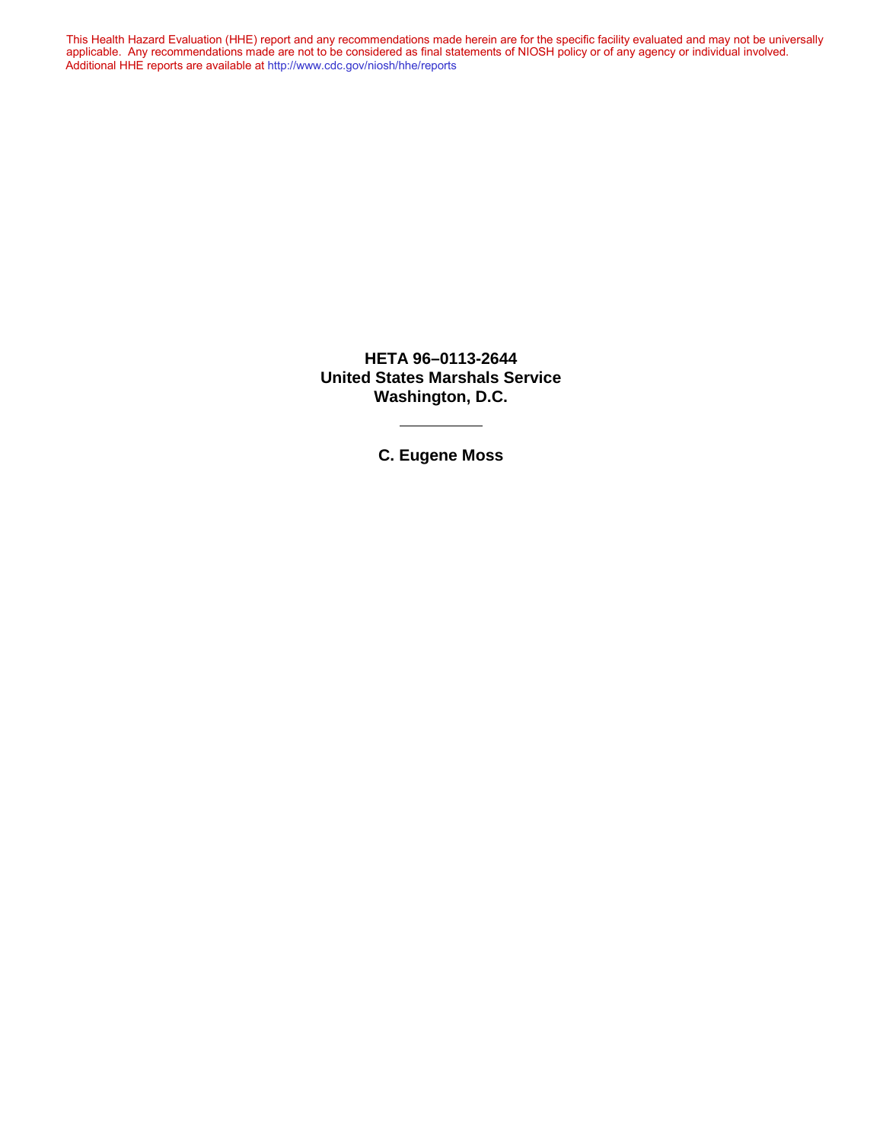This Health Hazard Evaluation (HHE) report and any recommendations made herein are for the specific facility evaluated and may not be universally applicable. Any recommendations made are not to be considered as final statements of NIOSH policy or of any agency or individual involved. Additional HHE reports are available at <http://www.cdc.gov/niosh/hhe/reports> Additional HHE reports are available at <http://www.cdc.gov/niosh/hhe/reports>This Health Hazard Evaluation (HHE) report and any recommendations made herein are for the specific facility evaluated and may not be universally applicable. Any recommendations made are not to be considered as final statements of NIOSH policy or of any agency or individual involved

> **HETA 96–0113-2644 United States Marshals Service Washington, D.C.**

> > **C. Eugene Moss**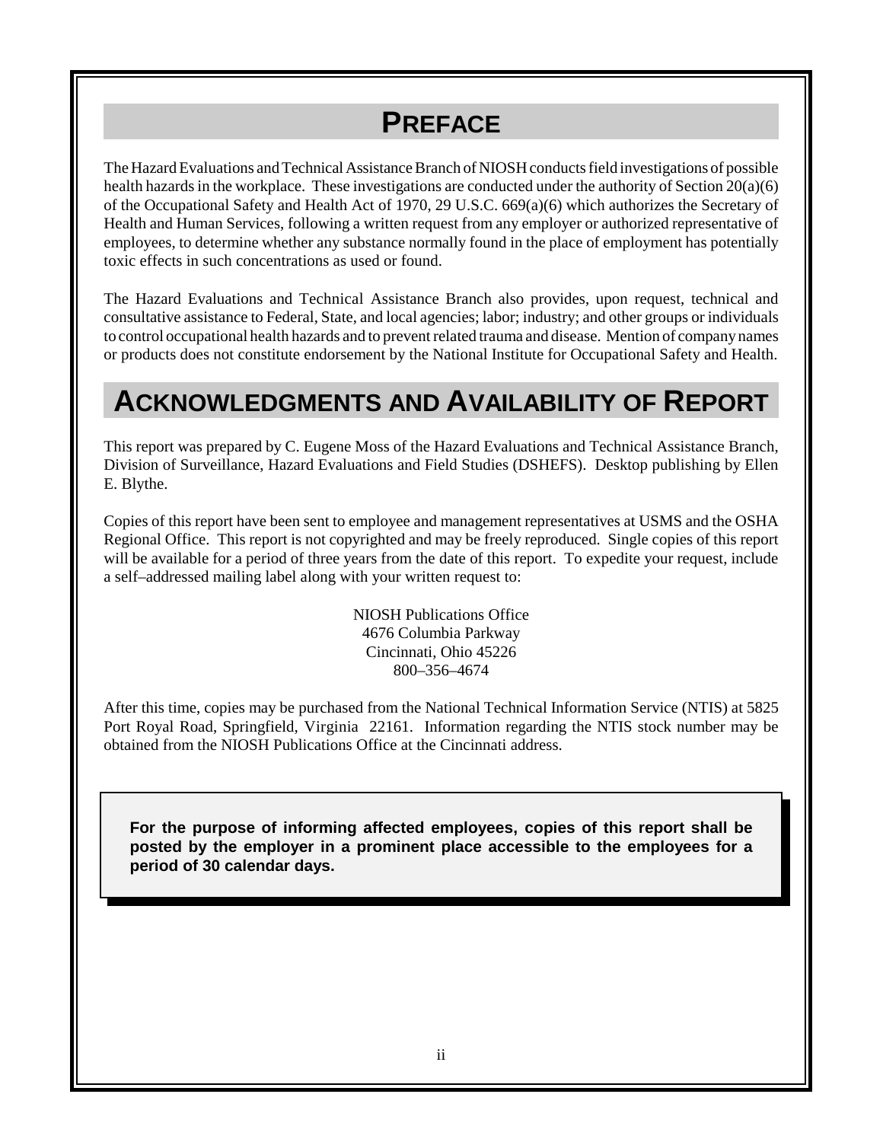## **PREFACE**

The Hazard Evaluations and Technical Assistance Branch of NIOSH conducts field investigations of possible health hazards in the workplace. These investigations are conducted under the authority of Section 20(a)(6) of the Occupational Safety and Health Act of 1970, 29 U.S.C. 669(a)(6) which authorizes the Secretary of Health and Human Services, following a written request from any employer or authorized representative of employees, to determine whether any substance normally found in the place of employment has potentially toxic effects in such concentrations as used or found.

The Hazard Evaluations and Technical Assistance Branch also provides, upon request, technical and consultative assistance to Federal, State, and local agencies; labor; industry; and other groups or individuals to control occupational health hazards and to prevent related trauma and disease. Mention of company names or products does not constitute endorsement by the National Institute for Occupational Safety and Health.

### **ACKNOWLEDGMENTS AND AVAILABILITY OF REPORT**

This report was prepared by C. Eugene Moss of the Hazard Evaluations and Technical Assistance Branch, Division of Surveillance, Hazard Evaluations and Field Studies (DSHEFS). Desktop publishing by Ellen E. Blythe.

Copies of this report have been sent to employee and management representatives at USMS and the OSHA Regional Office. This report is not copyrighted and may be freely reproduced. Single copies of this report will be available for a period of three years from the date of this report. To expedite your request, include a self–addressed mailing label along with your written request to:

> NIOSH Publications Office 4676 Columbia Parkway Cincinnati, Ohio 45226 800–356–4674

After this time, copies may be purchased from the National Technical Information Service (NTIS) at 5825 Port Royal Road, Springfield, Virginia 22161. Information regarding the NTIS stock number may be obtained from the NIOSH Publications Office at the Cincinnati address.

**For the purpose of informing affected employees, copies of this report shall be posted by the employer in a prominent place accessible to the employees for a period of 30 calendar days.**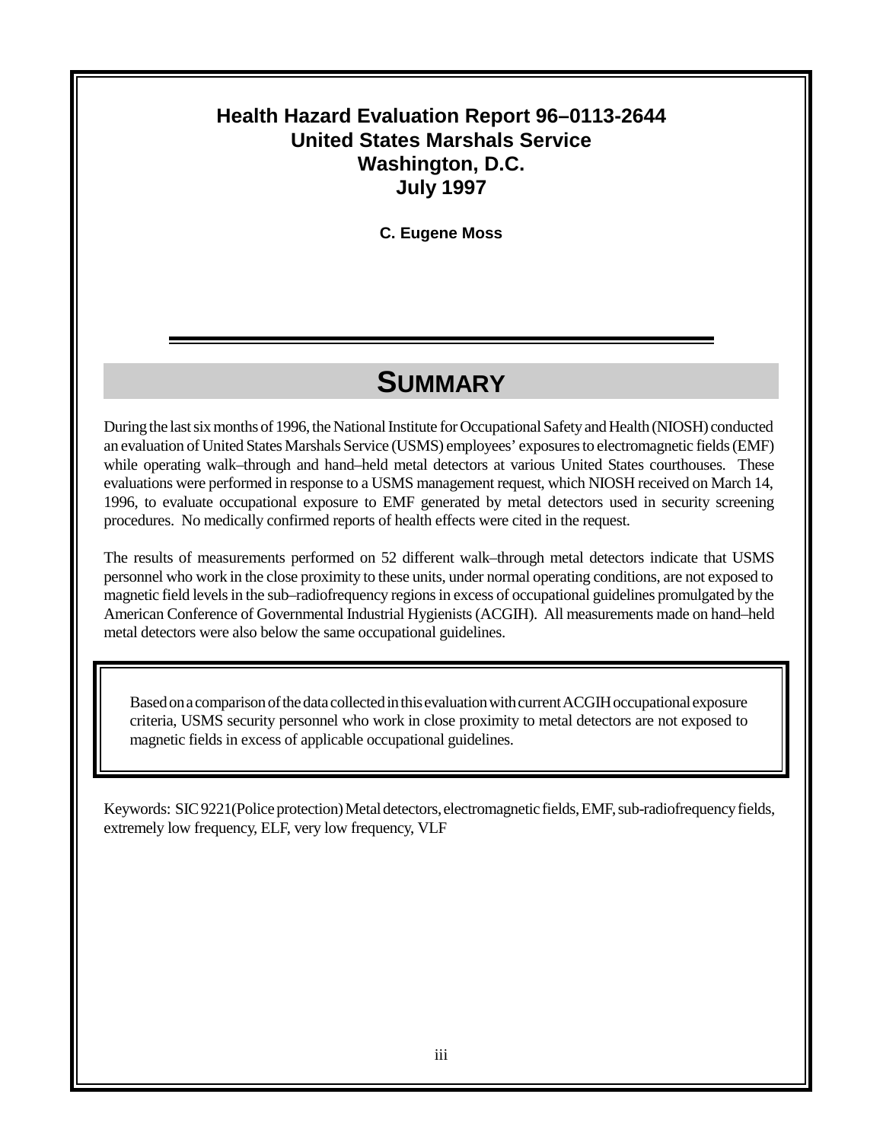#### **Health Hazard Evaluation Report 96–0113-2644 United States Marshals Service Washington, D.C. July 1997**

**C. Eugene Moss**

### **SUMMARY**

During the last six months of 1996, the National Institute for Occupational Safety and Health (NIOSH) conducted an evaluation of United States Marshals Service (USMS) employees' exposures to electromagnetic fields (EMF) while operating walk–through and hand–held metal detectors at various United States courthouses. These evaluations were performed in response to a USMS management request, which NIOSH received on March 14, 1996, to evaluate occupational exposure to EMF generated by metal detectors used in security screening procedures. No medically confirmed reports of health effects were cited in the request.

The results of measurements performed on 52 different walk–through metal detectors indicate that USMS personnel who work in the close proximity to these units, under normal operating conditions, are not exposed to magnetic field levels in the sub–radiofrequency regions in excess of occupational guidelines promulgated by the American Conference of Governmental Industrial Hygienists (ACGIH). All measurements made on hand–held metal detectors were also below the same occupational guidelines.

Based on a comparison of the data collected in this evaluation with current ACGIH occupational exposure criteria, USMS security personnel who work in close proximity to metal detectors are not exposed to magnetic fields in excess of applicable occupational guidelines.

Keywords: SIC 9221(Police protection) Metal detectors, electromagnetic fields, EMF, sub-radiofrequency fields, extremely low frequency, ELF, very low frequency, VLF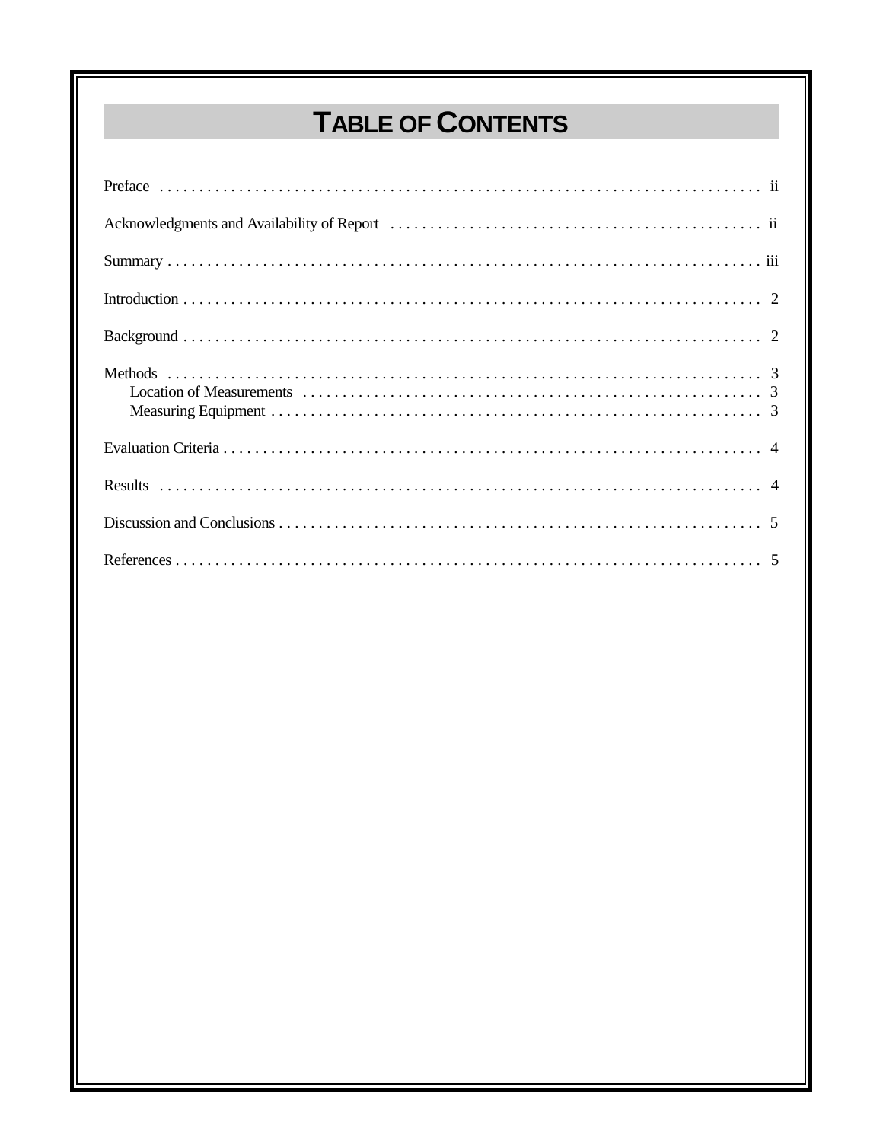# TABLE OF CONTENTS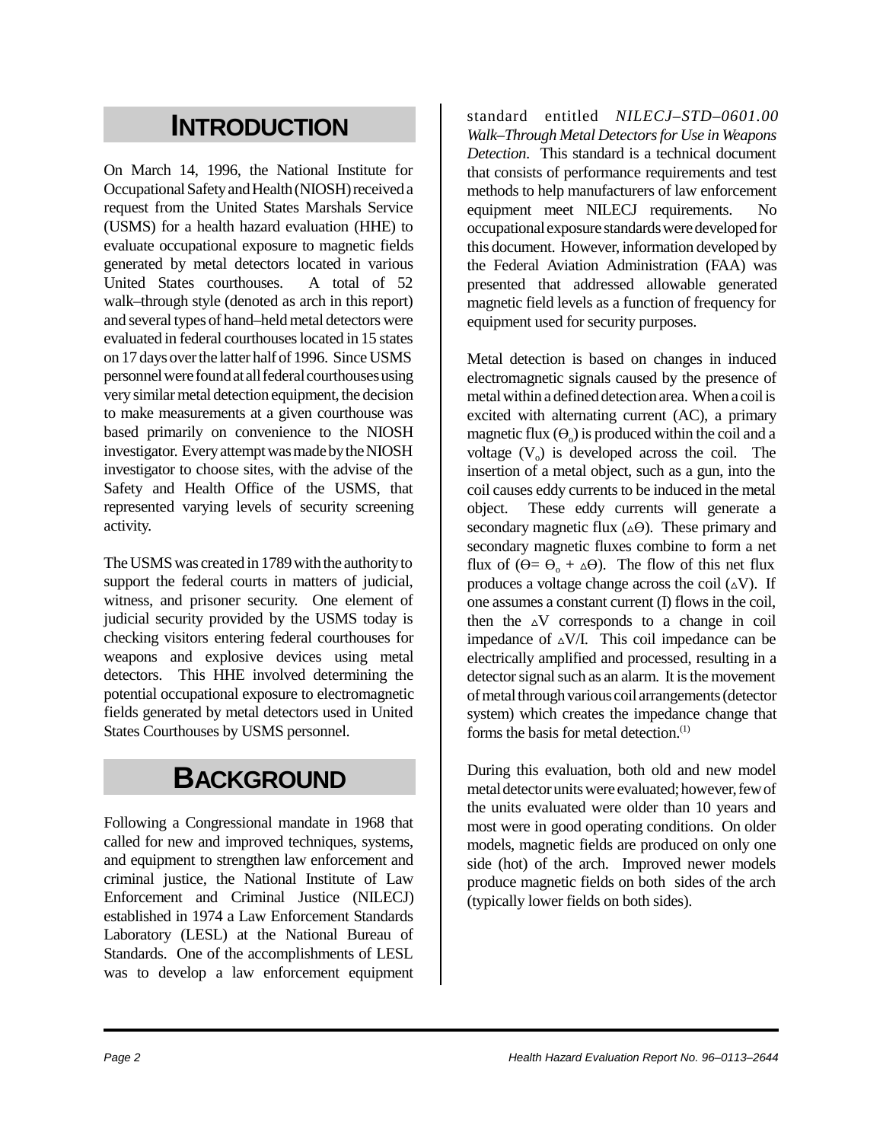### **INTRODUCTION**

On March 14, 1996, the National Institute for Occupational Safety and Health (NIOSH) received a request from the United States Marshals Service (USMS) for a health hazard evaluation (HHE) to evaluate occupational exposure to magnetic fields generated by metal detectors located in various United States courthouses. A total of 52 walk–through style (denoted as arch in this report) and several types of hand–held metal detectors were evaluated in federal courthouses located in 15 states on 17 days over the latter half of 1996. Since USMS personnel were found at all federal courthouses using very similar metal detection equipment, the decision to make measurements at a given courthouse was based primarily on convenience to the NIOSH investigator. Every attempt was made by the NIOSH investigator to choose sites, with the advise of the Safety and Health Office of the USMS, that represented varying levels of security screening activity.

The USMS was created in 1789 with the authority to support the federal courts in matters of judicial, witness, and prisoner security. One element of judicial security provided by the USMS today is checking visitors entering federal courthouses for weapons and explosive devices using metal detectors. This HHE involved determining the potential occupational exposure to electromagnetic fields generated by metal detectors used in United States Courthouses by USMS personnel.

#### **BACKGROUND**

Following a Congressional mandate in 1968 that called for new and improved techniques, systems, and equipment to strengthen law enforcement and criminal justice, the National Institute of Law Enforcement and Criminal Justice (NILECJ) established in 1974 a Law Enforcement Standards Laboratory (LESL) at the National Bureau of Standards. One of the accomplishments of LESL was to develop a law enforcement equipment

standard entitled *NILECJ–STD–0601.00 Walk–Through Metal Detectors for Use in Weapons Detection*. This standard is a technical document that consists of performance requirements and test methods to help manufacturers of law enforcement equipment meet NILECJ requirements. No occupational exposure standards were developed for this document. However, information developed by the Federal Aviation Administration (FAA) was presented that addressed allowable generated magnetic field levels as a function of frequency for equipment used for security purposes.

Metal detection is based on changes in induced electromagnetic signals caused by the presence of metal within a defined detection area. When a coil is excited with alternating current (AC), a primary magnetic flux  $(\Theta_0)$  is produced within the coil and a voltage  $(V_0)$  is developed across the coil. The insertion of a metal object, such as a gun, into the coil causes eddy currents to be induced in the metal object. These eddy currents will generate a secondary magnetic flux  $(\triangle \Theta)$ . These primary and secondary magnetic fluxes combine to form a net flux of  $(\Theta = \Theta_0 + \Delta \Theta)$ . The flow of this net flux produces a voltage change across the coil  $(\Delta V)$ . If one assumes a constant current (I) flows in the coil, then the  $\Delta V$  corresponds to a change in coil impedance of  $\triangle$ V/I. This coil impedance can be electrically amplified and processed, resulting in a detector signal such as an alarm. It is the movement of metal through various coil arrangements (detector system) which creates the impedance change that forms the basis for metal detection.<sup>(1)</sup>

During this evaluation, both old and new model metal detector units were evaluated; however, few of the units evaluated were older than 10 years and most were in good operating conditions. On older models, magnetic fields are produced on only one side (hot) of the arch. Improved newer models produce magnetic fields on both sides of the arch (typically lower fields on both sides).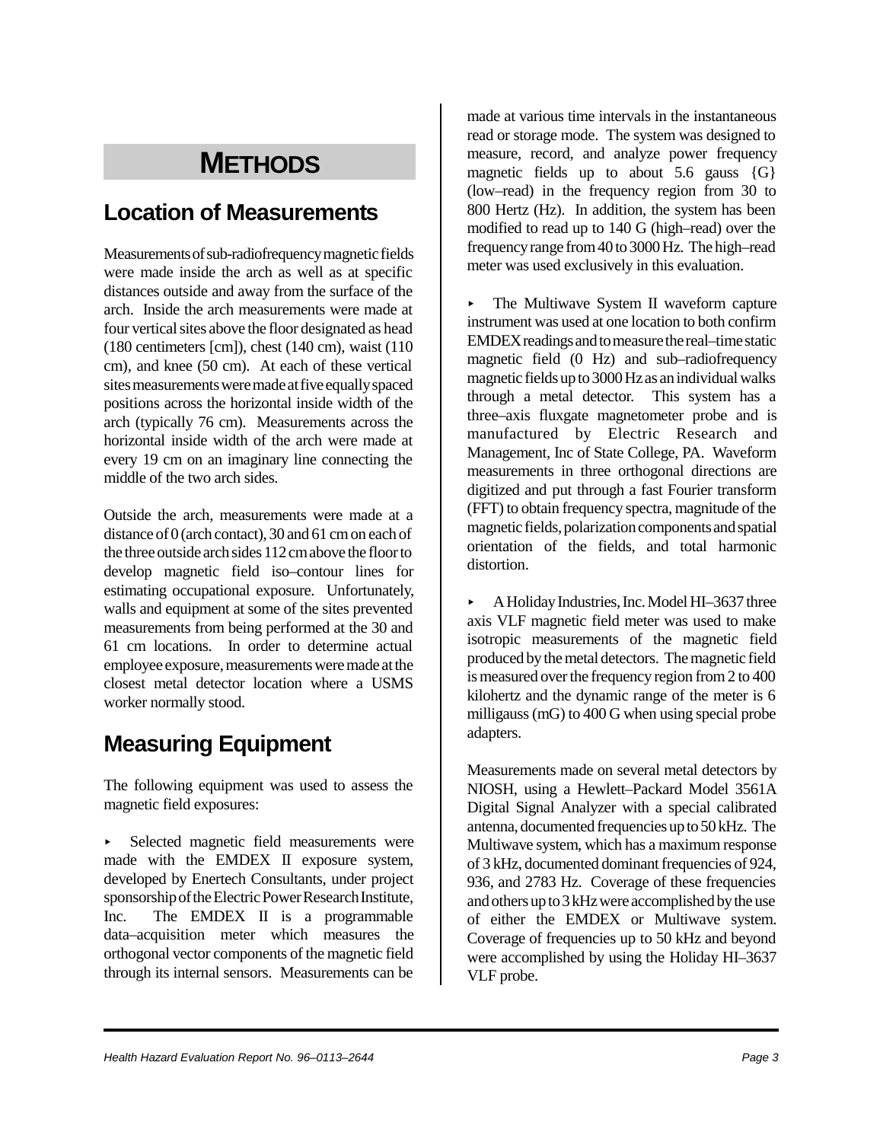### **METHODS**

#### **Location of Measurements**

Measurements of sub-radiofrequency magnetic fields were made inside the arch as well as at specific distances outside and away from the surface of the arch. Inside the arch measurements were made at four vertical sites above the floor designated as head (180 centimeters [cm]), chest (140 cm), waist (110 cm), and knee (50 cm). At each of these vertical sites measurements were made at five equally spaced positions across the horizontal inside width of the arch (typically 76 cm). Measurements across the horizontal inside width of the arch were made at every 19 cm on an imaginary line connecting the middle of the two arch sides.

Outside the arch, measurements were made at a distance of 0 (arch contact), 30 and 61 cm on each of the three outside arch sides 112 cm above the floor to develop magnetic field iso–contour lines for estimating occupational exposure. Unfortunately, walls and equipment at some of the sites prevented measurements from being performed at the 30 and 61 cm locations. In order to determine actual employee exposure, measurements were made at the closest metal detector location where a USMS worker normally stood.

#### **Measuring Equipment**

The following equipment was used to assess the magnetic field exposures:

Selected magnetic field measurements were made with the EMDEX II exposure system, developed by Enertech Consultants, under project sponsorship of the Electric Power Research Institute, Inc. The EMDEX II is a programmable data–acquisition meter which measures the orthogonal vector components of the magnetic field through its internal sensors. Measurements can be

made at various time intervals in the instantaneous read or storage mode. The system was designed to measure, record, and analyze power frequency magnetic fields up to about  $5.6$  gauss  $\{G\}$ (low–read) in the frequency region from 30 to 800 Hertz (Hz). In addition, the system has been modified to read up to 140 G (high–read) over the frequency range from 40 to 3000 Hz. The high–read meter was used exclusively in this evaluation.

• The Multiwave System II waveform capture instrument was used at one location to both confirm EMDEX readings and to measure the real–time static magnetic field (0 Hz) and sub–radiofrequency magnetic fields up to 3000 Hz as an individual walks through a metal detector. This system has a three–axis fluxgate magnetometer probe and is manufactured by Electric Research and Management, Inc of State College, PA. Waveform measurements in three orthogonal directions are digitized and put through a fast Fourier transform (FFT) to obtain frequency spectra, magnitude of the magnetic fields, polarization components and spatial orientation of the fields, and total harmonic distortion.

< A Holiday Industries, Inc. Model HI–3637 three axis VLF magnetic field meter was used to make isotropic measurements of the magnetic field produced by the metal detectors. The magnetic field is measured over the frequency region from 2 to 400 kilohertz and the dynamic range of the meter is 6 milligauss (mG) to 400 G when using special probe adapters.

Measurements made on several metal detectors by NIOSH, using a Hewlett–Packard Model 3561A Digital Signal Analyzer with a special calibrated antenna, documented frequencies up to 50 kHz. The Multiwave system, which has a maximum response of 3 kHz, documented dominant frequencies of 924, 936, and 2783 Hz. Coverage of these frequencies and others up to 3 kHz were accomplished by the use of either the EMDEX or Multiwave system. Coverage of frequencies up to 50 kHz and beyond were accomplished by using the Holiday HI–3637 VLF probe.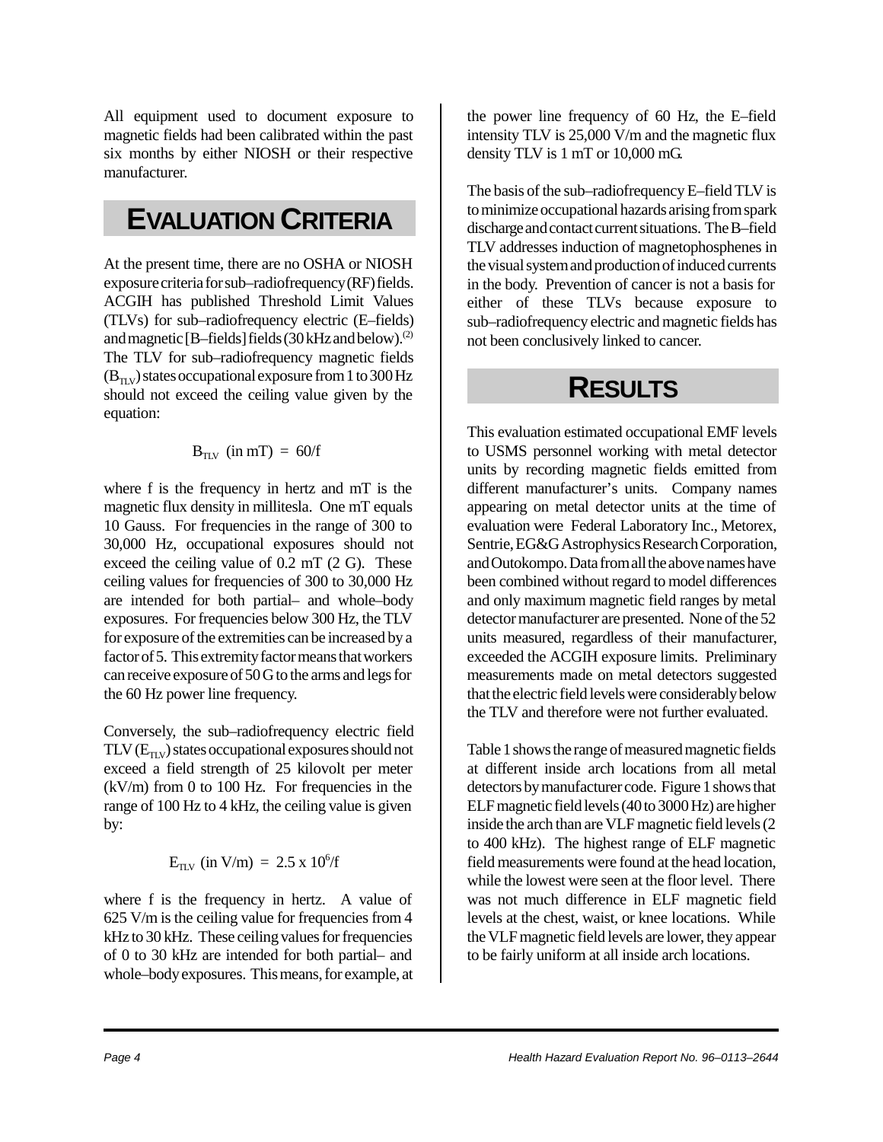All equipment used to document exposure to magnetic fields had been calibrated within the past six months by either NIOSH or their respective manufacturer.

#### **EVALUATION CRITERIA**

At the present time, there are no OSHA or NIOSH exposure criteria for sub–radiofrequency (RF) fields. ACGIH has published Threshold Limit Values (TLVs) for sub–radiofrequency electric (E–fields) and magnetic [B–fields] fields  $(30 \text{ kHz}$  and below).<sup>(2)</sup> The TLV for sub–radiofrequency magnetic fields  $(B_{TUV})$  states occupational exposure from 1 to 300 Hz should not exceed the ceiling value given by the equation:

#### $B_{TUV}$  (in mT) = 60/f

where f is the frequency in hertz and mT is the magnetic flux density in millitesla. One mT equals 10 Gauss. For frequencies in the range of 300 to 30,000 Hz, occupational exposures should not exceed the ceiling value of 0.2 mT (2 G). These ceiling values for frequencies of 300 to 30,000 Hz are intended for both partial– and whole–body exposures. For frequencies below 300 Hz, the TLV for exposure of the extremities can be increased by a factor of 5. This extremity factor means that workers can receive exposure of 50 G to the arms and legs for the 60 Hz power line frequency.

Conversely, the sub–radiofrequency electric field  $TLV$  ( $E_{\text{TV}}$ ) states occupational exposures should not exceed a field strength of 25 kilovolt per meter  $(kV/m)$  from 0 to 100 Hz. For frequencies in the range of 100 Hz to 4 kHz, the ceiling value is given by:

$$
E_{\rm TLV}~(in~V/m)~=~2.5~x~10^6/f
$$

where f is the frequency in hertz. A value of 625 V/m is the ceiling value for frequencies from 4 kHz to 30 kHz. These ceiling values for frequencies of 0 to 30 kHz are intended for both partial– and whole–body exposures. This means, for example, at the power line frequency of 60 Hz, the E–field intensity TLV is 25,000 V/m and the magnetic flux density TLV is 1 mT or 10,000 mG.

The basis of the sub–radiofrequency E–field TLV is to minimize occupational hazards arising from spark discharge and contact current situations. The B–field TLV addresses induction of magnetophosphenes in the visual system and production of induced currents in the body. Prevention of cancer is not a basis for either of these TLVs because exposure to sub–radiofrequency electric and magnetic fields has not been conclusively linked to cancer.

### **RESULTS**

This evaluation estimated occupational EMF levels to USMS personnel working with metal detector units by recording magnetic fields emitted from different manufacturer's units. Company names appearing on metal detector units at the time of evaluation were Federal Laboratory Inc., Metorex, Sentrie, EG&G Astrophysics Research Corporation, and Outokompo. Data from all the above names have been combined without regard to model differences and only maximum magnetic field ranges by metal detector manufacturer are presented. None of the 52 units measured, regardless of their manufacturer, exceeded the ACGIH exposure limits. Preliminary measurements made on metal detectors suggested that the electric field levels were considerably below the TLV and therefore were not further evaluated.

Table 1 shows the range of measured magnetic fields at different inside arch locations from all metal detectors by manufacturer code. Figure 1 shows that ELF magnetic field levels (40 to 3000 Hz) are higher inside the arch than are VLF magnetic field levels (2 to 400 kHz). The highest range of ELF magnetic field measurements were found at the head location, while the lowest were seen at the floor level. There was not much difference in ELF magnetic field levels at the chest, waist, or knee locations. While the VLF magnetic field levels are lower, they appear to be fairly uniform at all inside arch locations.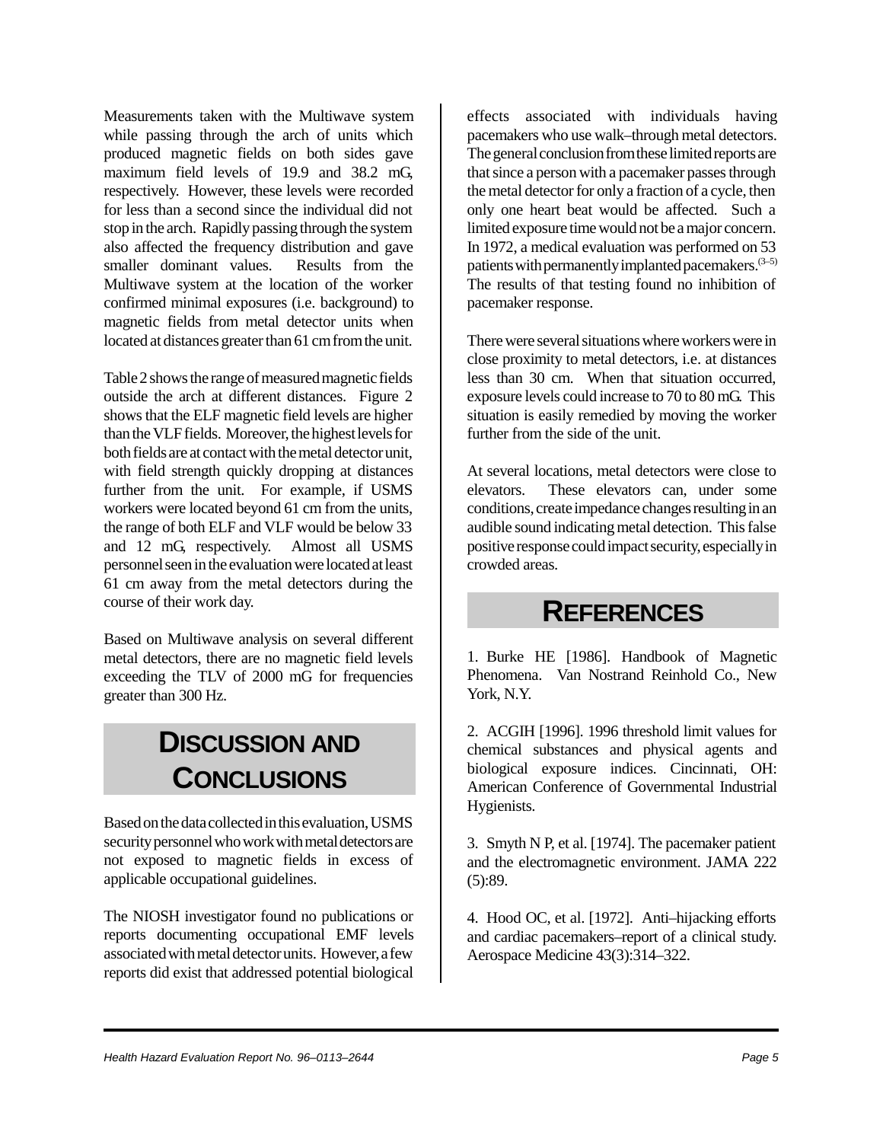Measurements taken with the Multiwave system while passing through the arch of units which produced magnetic fields on both sides gave maximum field levels of 19.9 and 38.2 mG, respectively. However, these levels were recorded for less than a second since the individual did not stop in the arch. Rapidly passing through the system also affected the frequency distribution and gave smaller dominant values. Results from the Multiwave system at the location of the worker confirmed minimal exposures (i.e. background) to magnetic fields from metal detector units when located at distances greater than 61 cm from the unit.

Table 2 shows the range of measured magnetic fields outside the arch at different distances. Figure 2 shows that the ELF magnetic field levels are higher than the VLF fields. Moreover, the highest levels for both fields are at contact with the metal detector unit, with field strength quickly dropping at distances further from the unit. For example, if USMS workers were located beyond 61 cm from the units, the range of both ELF and VLF would be below 33 and 12 mG, respectively. Almost all USMS personnel seen in the evaluation were located at least 61 cm away from the metal detectors during the course of their work day.

Based on Multiwave analysis on several different metal detectors, there are no magnetic field levels exceeding the TLV of 2000 mG for frequencies greater than 300 Hz.

### **DISCUSSION AND CONCLUSIONS**

Based on the data collected in this evaluation, USMS security personnel who work with metal detectors are not exposed to magnetic fields in excess of applicable occupational guidelines.

The NIOSH investigator found no publications or reports documenting occupational EMF levels associated with metal detector units. However, a few reports did exist that addressed potential biological

effects associated with individuals having pacemakers who use walk–through metal detectors. The general conclusion from these limited reports are that since a person with a pacemaker passes through the metal detector for only a fraction of a cycle, then only one heart beat would be affected. Such a limited exposure time would not be a major concern. In 1972, a medical evaluation was performed on 53 patients with permanently implanted pacemakers.  $(3-5)$ The results of that testing found no inhibition of pacemaker response.

There were several situations where workers were in close proximity to metal detectors, i.e. at distances less than 30 cm. When that situation occurred, exposure levels could increase to 70 to 80 mG. This situation is easily remedied by moving the worker further from the side of the unit.

At several locations, metal detectors were close to elevators. These elevators can, under some conditions, create impedance changes resulting in an audible sound indicating metal detection. This false positive response could impact security, especially in crowded areas.

#### **REFERENCES**

1. Burke HE [1986]. Handbook of Magnetic Phenomena. Van Nostrand Reinhold Co., New York, N.Y.

2. ACGIH [1996]. 1996 threshold limit values for chemical substances and physical agents and biological exposure indices. Cincinnati, OH: American Conference of Governmental Industrial Hygienists.

3. Smyth N P, et al. [1974]. The pacemaker patient and the electromagnetic environment. JAMA 222  $(5):89.$ 

4. Hood OC, et al. [1972]. Anti–hijacking efforts and cardiac pacemakers–report of a clinical study. Aerospace Medicine 43(3):314–322.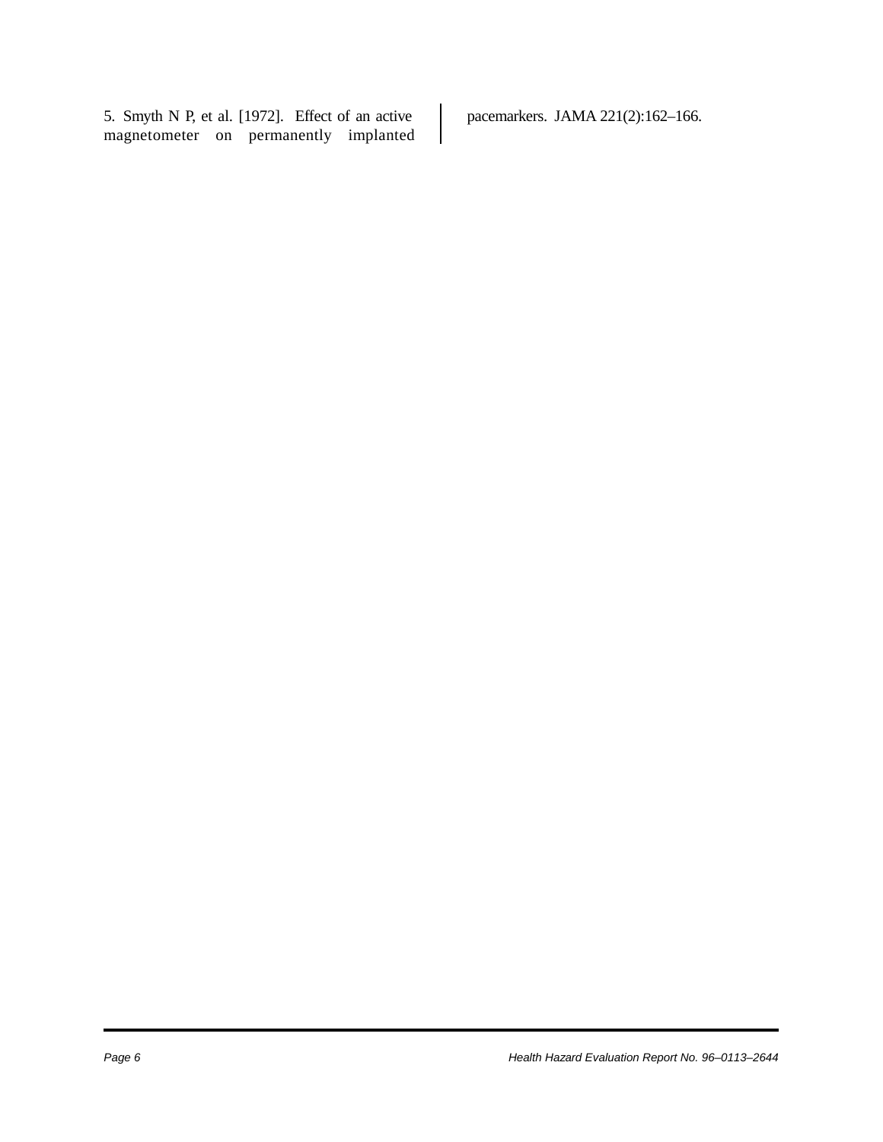5. Smyth N P, et al. [1972]. Effect of an active magnetometer on permanently implanted pacemarkers. JAMA 221(2):162–166.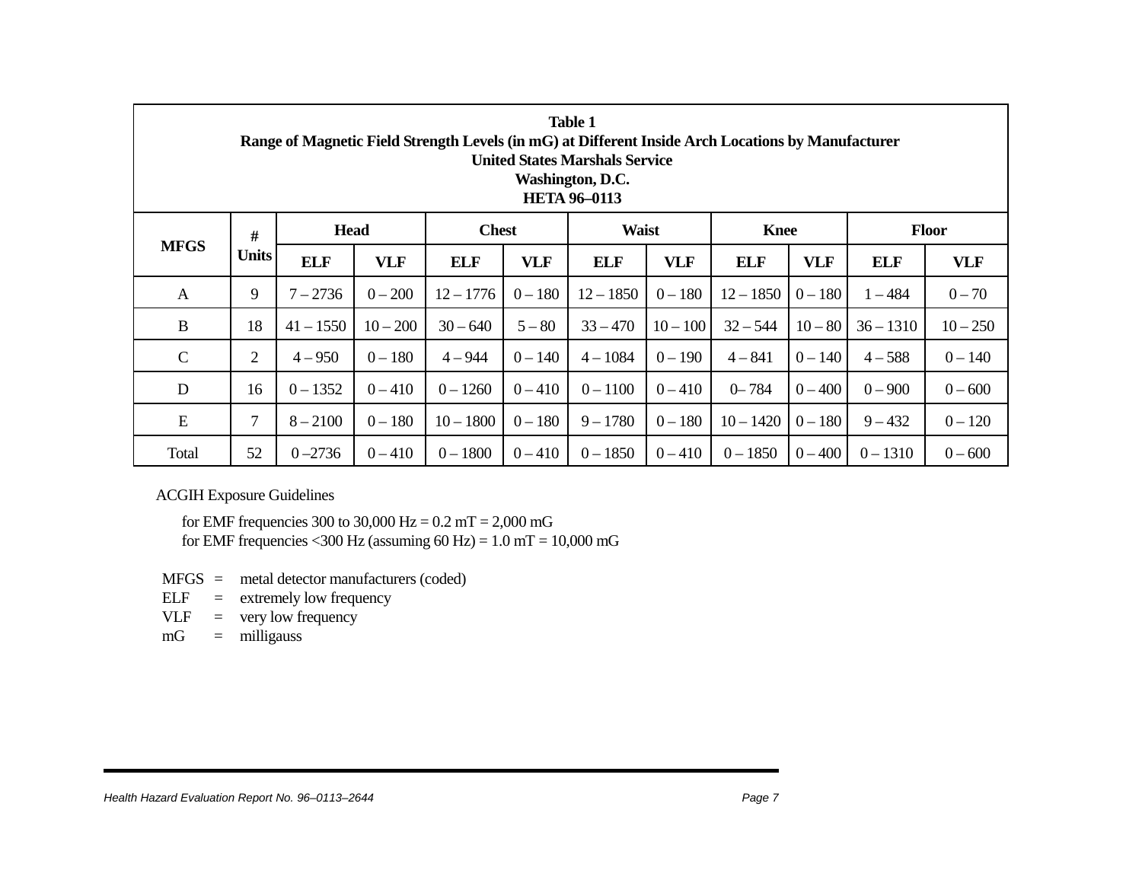| <b>Table 1</b><br>Range of Magnetic Field Strength Levels (in mG) at Different Inside Arch Locations by Manufacturer<br><b>United States Marshals Service</b><br>Washington, D.C.<br><b>HETA 96-0113</b> |                   |             |            |              |            |              |            |             |            |              |            |  |
|----------------------------------------------------------------------------------------------------------------------------------------------------------------------------------------------------------|-------------------|-------------|------------|--------------|------------|--------------|------------|-------------|------------|--------------|------------|--|
| <b>MFGS</b>                                                                                                                                                                                              | #<br><b>Units</b> | <b>Head</b> |            | <b>Chest</b> |            | <b>Waist</b> |            | <b>Knee</b> |            | <b>Floor</b> |            |  |
|                                                                                                                                                                                                          |                   | <b>ELF</b>  | <b>VLF</b> | <b>ELF</b>   | <b>VLF</b> | <b>ELF</b>   | <b>VLF</b> | <b>ELF</b>  | <b>VLF</b> | <b>ELF</b>   | <b>VLF</b> |  |
| A                                                                                                                                                                                                        | 9                 | $7 - 2736$  | $0 - 200$  | $12 - 1776$  | $0 - 180$  | $12 - 1850$  | $0 - 180$  | $12 - 1850$ | $0 - 180$  | $1 - 484$    | $0 - 70$   |  |
| B                                                                                                                                                                                                        | 18                | $41 - 1550$ | $10 - 200$ | $30 - 640$   | $5 - 80$   | $33 - 470$   | $10 - 100$ | $32 - 544$  | $10 - 80$  | $36 - 1310$  | $10 - 250$ |  |
| $\mathbf C$                                                                                                                                                                                              | $\overline{2}$    | $4 - 950$   | $0 - 180$  | $4 - 944$    | $0 - 140$  | $4 - 1084$   | $0 - 190$  | $4 - 841$   | $0 - 140$  | $4 - 588$    | $0 - 140$  |  |
| D                                                                                                                                                                                                        | 16                | $0 - 1352$  | $0 - 410$  | $0 - 1260$   | $0 - 410$  | $0 - 1100$   | $0 - 410$  | $0 - 784$   | $0 - 400$  | $0 - 900$    | $0 - 600$  |  |
| ${\bf E}$                                                                                                                                                                                                | 7                 | $8 - 2100$  | $0 - 180$  | $10 - 1800$  | $0 - 180$  | $9 - 1780$   | $0 - 180$  | $10 - 1420$ | $0 - 180$  | $9 - 432$    | $0 - 120$  |  |
| Total                                                                                                                                                                                                    | 52                | $0 - 2736$  | $0 - 410$  | $0 - 1800$   | $0 - 410$  | $0 - 1850$   | $0 - 410$  | $0 - 1850$  | $0 - 400$  | $0 - 1310$   | $0 - 600$  |  |

ACGIH Exposure Guidelines

for EMF frequencies 300 to 30,000 Hz =  $0.2$  mT =  $2,000$  mG for EMF frequencies <300 Hz (assuming  $60$  Hz) = 1.0 mT = 10,000 mG

- MFGS <sup>=</sup> metal detector manufacturers (coded)
- $ELF =$  extremely low frequency
- $VLF = very low frequency$
- mG <sup>=</sup> milligauss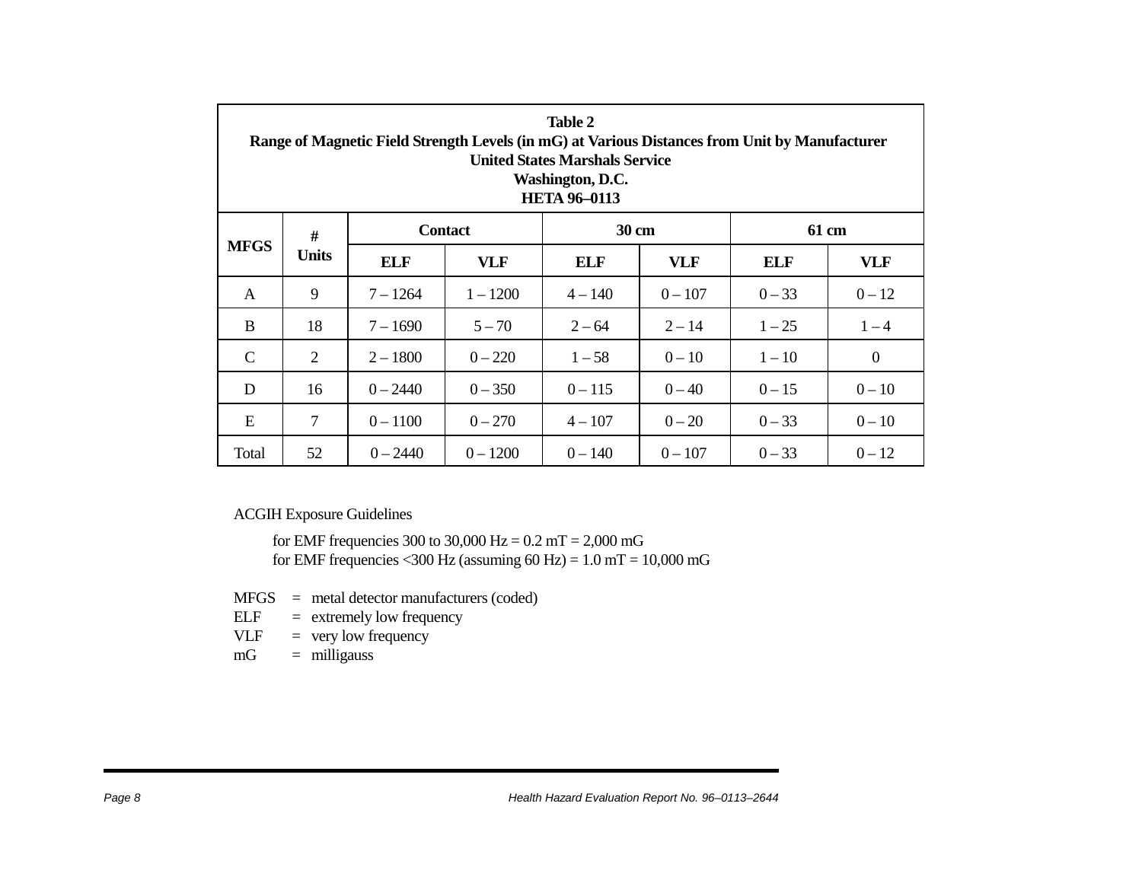| Table 2<br>Range of Magnetic Field Strength Levels (in mG) at Various Distances from Unit by Manufacturer<br><b>United States Marshals Service</b><br>Washington, D.C.<br><b>HETA 96-0113</b> |                      |            |                |           |            |          |                  |  |  |  |
|-----------------------------------------------------------------------------------------------------------------------------------------------------------------------------------------------|----------------------|------------|----------------|-----------|------------|----------|------------------|--|--|--|
| <b>MFGS</b>                                                                                                                                                                                   | $\#$<br><b>Units</b> |            | <b>Contact</b> | 30 cm     |            | 61 cm    |                  |  |  |  |
|                                                                                                                                                                                               |                      | ELF        | VLF            | ELF       | <b>VLF</b> | ELF      | <b>VLF</b>       |  |  |  |
| $\mathsf{A}$                                                                                                                                                                                  | 9                    | $7 - 1264$ | $1 - 1200$     | $4 - 140$ | $0 - 107$  | $0 - 33$ | $0 - 12$         |  |  |  |
| B                                                                                                                                                                                             | 18                   | $7 - 1690$ | $5 - 70$       | $2 - 64$  | $2 - 14$   | $1 - 25$ | $1 - 4$          |  |  |  |
| $\mathcal{C}$                                                                                                                                                                                 | $\overline{2}$       | $2 - 1800$ | $0 - 220$      | $1 - 58$  | $0 - 10$   | $1 - 10$ | $\boldsymbol{0}$ |  |  |  |
| D                                                                                                                                                                                             | 16                   | $0 - 2440$ | $0 - 350$      | $0 - 115$ | $0 - 40$   | $0 - 15$ | $0 - 10$         |  |  |  |
| E                                                                                                                                                                                             | 7                    | $0 - 1100$ | $0 - 270$      | $4 - 107$ | $0 - 20$   | $0 - 33$ | $0 - 10$         |  |  |  |
| Total                                                                                                                                                                                         | 52                   | $0 - 2440$ | $0 - 1200$     | $0 - 140$ | $0 - 107$  | $0 - 33$ | $0 - 12$         |  |  |  |

ACGIH Exposure Guidelines

for EMF frequencies 300 to 30,000 Hz =  $0.2$  mT =  $2,000$  mG for EMF frequencies <300 Hz (assuming  $60$  Hz) = 1.0 mT = 10,000 mG

MFGS <sup>=</sup> metal detector manufacturers (coded)

- $ELF =$  extremely low frequency
- $VLF = very low frequency$
- $mG =$  milligauss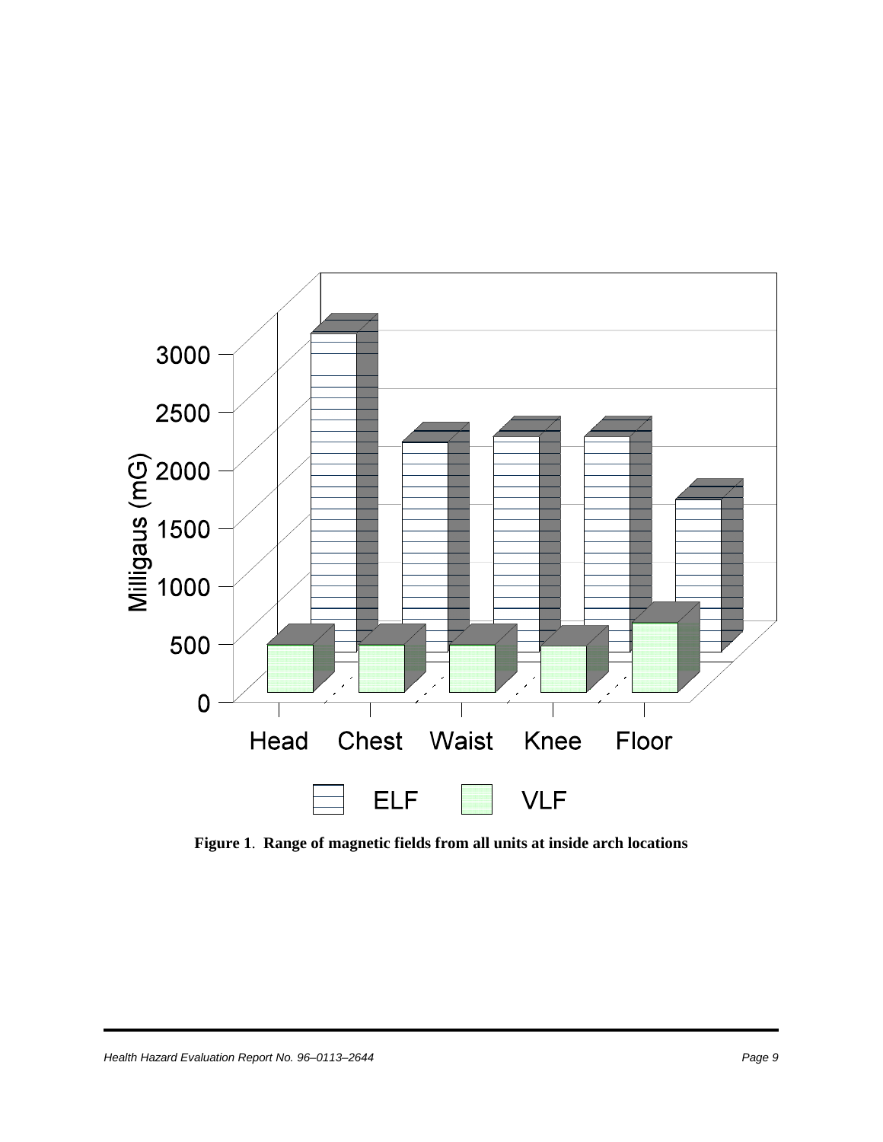

**Figure 1**. **Range of magnetic fields from all units at inside arch locations**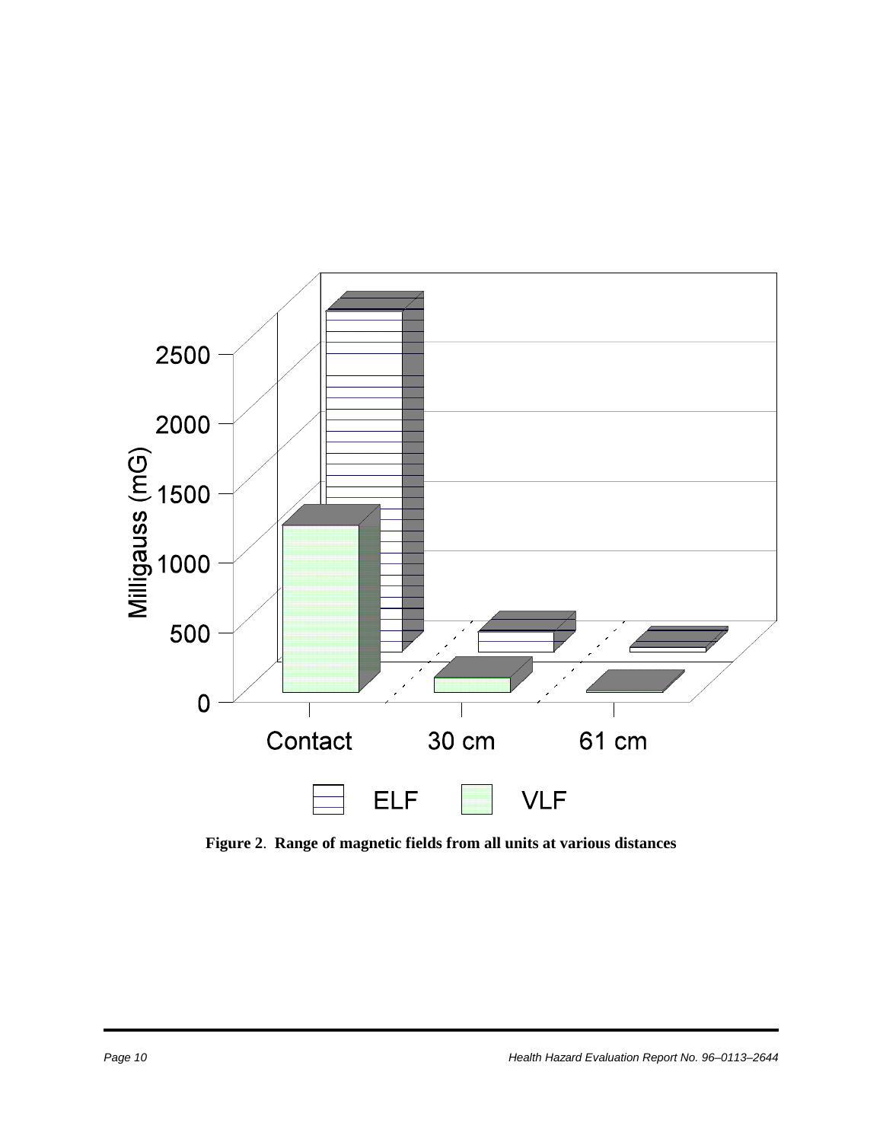

**Figure 2**. **Range of magnetic fields from all units at various distances**